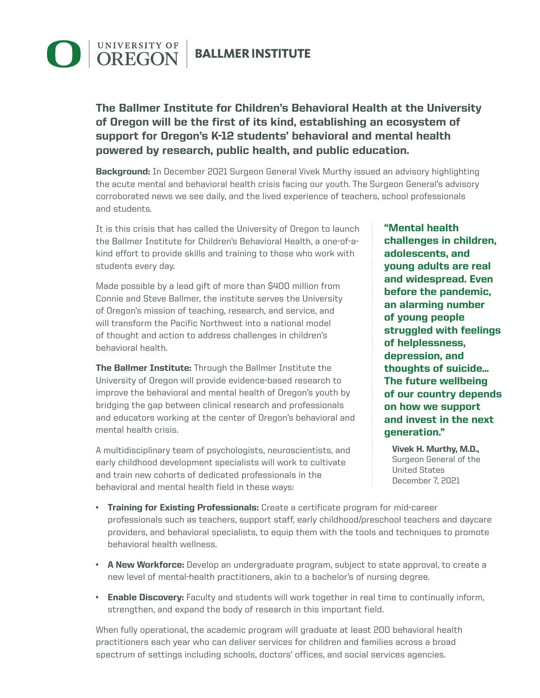## **DEGON BALLMER INSTITUTE**

The Ballmer Institute for Children's Behavioral Health at the University of Oregon will be the first of its kind, establishing an ecosystem of support for Oregon's K-12 students' behavioral and mental health powered by research, public health, and public education.

**Background:** In December 2021 Surgeon General Vivek Murthy issued an advisory highlighting the acute mental and behavioral health crisis facing our youth. The Surgeon General's advisory corroborated news we see daily, and the lived experience of teachers, school professionals and students.

It is this crisis that has called the University of Oregon to launch the Ballmer Institute for Children's Behavioral Health, a one-of-akind effort to provide skills and training to those who work with students every day.

Made possible by a lead gift of more than \$400 million from Connie and Steve Ballmer, the institute serves the University of Oregon's mission of teaching, research, and service, and will transform the Pacific Northwest into a national model of thought and action to address challenges in children's behavioral health.

The Ballmer Institute: Through the Ballmer Institute the University of Oregon will provide evidence-based research to improve the behavioral and mental health of Oregon's youth by bridging the gap between clinical research and professionals and educators working at the center of Oregon's behavioral and mental health crisis.

A multidisciplinary team of psychologists, neuroscientists, and early childhood development specialists will work to cultivate and train new cohorts of dedicated professionals in the behavioral and mental health field in these ways:

"Mental health challenges in children, adolescents, and young adults are real and widespread. Even before the pandemic, an alarming number of young people struggled with feelings of helplessness, depression, and thoughts of suicide… The future wellbeing of our country depends on how we support and invest in the next generation."

Vivek H. Murthy, M.D., Surgeon General of the United States December 7, 2021

- Training for Existing Professionals: Create a certificate program for mid-career professionals such as teachers, support staff, early childhood/preschool teachers and daycare providers, and behavioral specialists, to equip them with the tools and techniques to promote behavioral health wellness.
- **A New Workforce:** Develop an undergraduate program, subject to state approval, to create a new level of mental-health practitioners, akin to a bachelor's of nursing degree.
- Enable Discovery: Faculty and students will work together in real time to continually inform, strengthen, and expand the body of research in this important field.

When fully operational, the academic program will graduate at least 200 behavioral health practitioners each year who can deliver services for children and families across a broad spectrum of settings including schools, doctors' offices, and social services agencies.